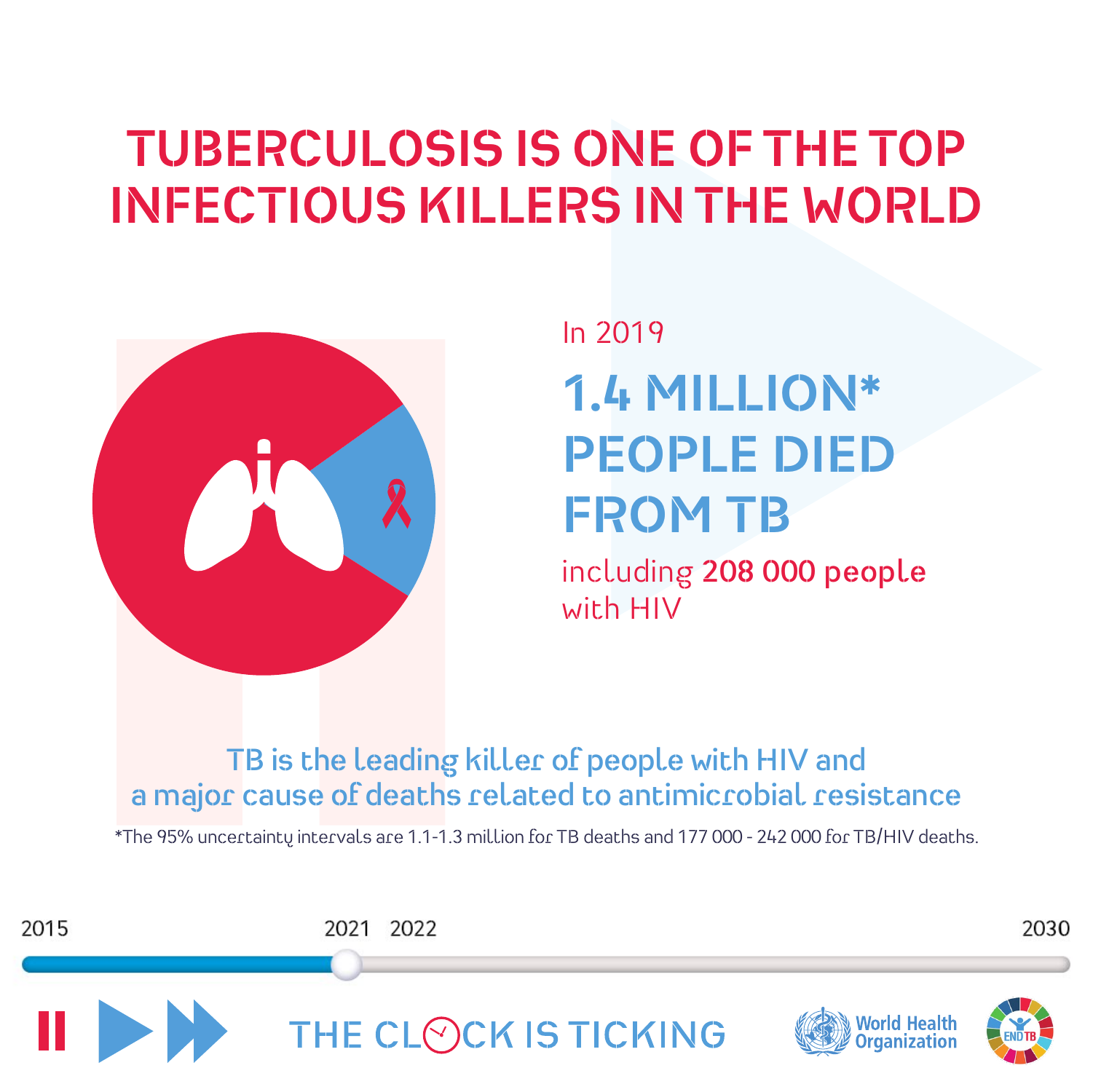## **TUBERCULOSIS IS ONE OF THE TOP INFECTIOUS KILLERS IN THE WORLD**



**1.4 MILLION\* PEOPLE DIED FROM TB** In 2019

including **208 000 people** with HIV

**TB is the leading killer of people with HIV and a major cause of deaths related to antimicrobial resistance**

\*The 95% uncertainty intervals are 1.1-1.3 million for TB deaths and 177 000 - 242 000 for TB/HIV deaths.

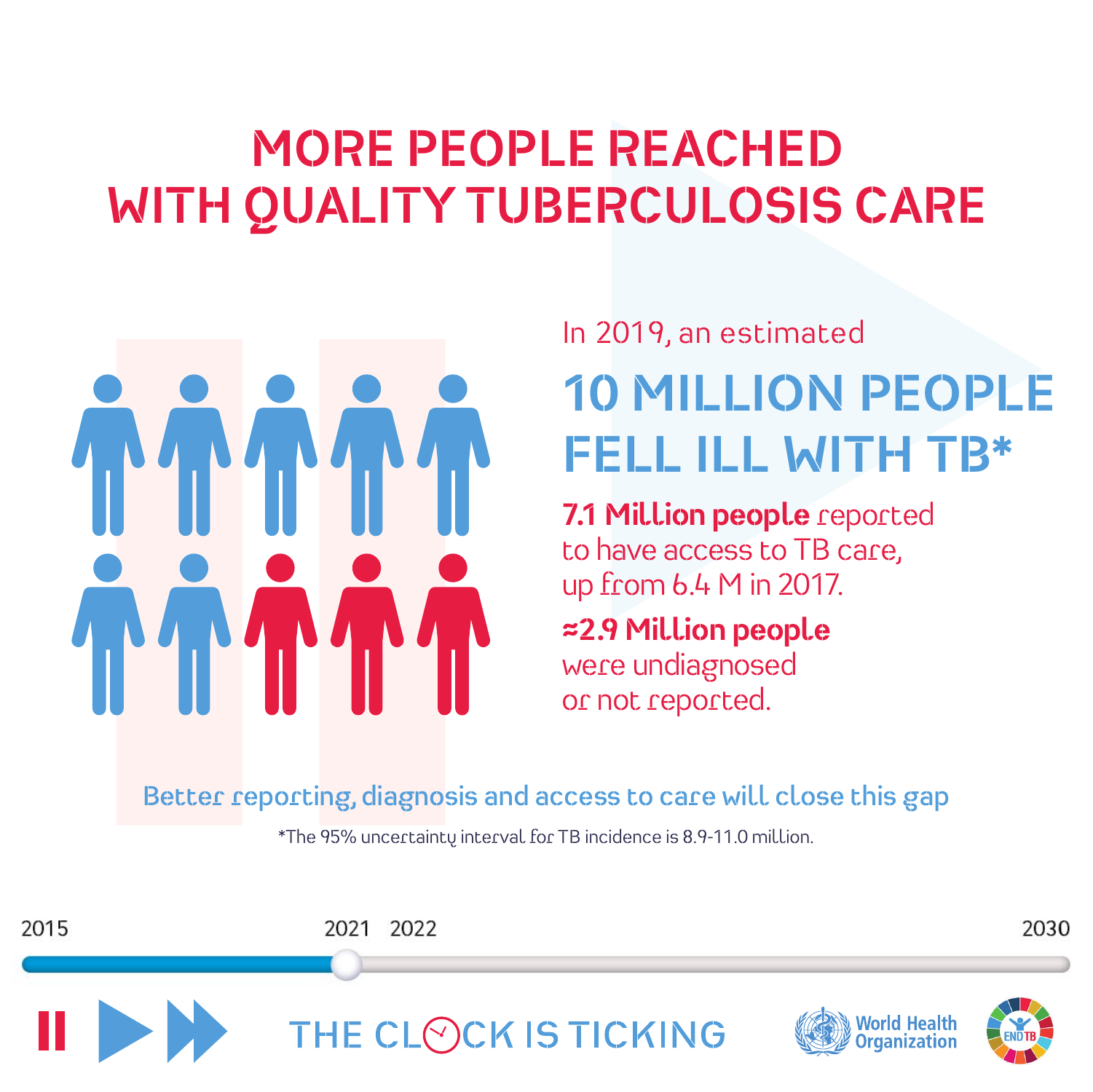# **MORE PEOPLE REACHED WITH QUALITY TUBERCULOSIS CARE**



#### **10 MILLION PEOPLE FELL ILL WITH TB\*** In 2019, an estimated

**7.1 Million people** reported to have access to TB care, up from 6.4 M in 2017.

**≈2.9 Million people** were undiagnosed or not reported.

**Better reporting, diagnosis and access to care will close this gap**

\*The 95% uncertainty interval for TB incidence is 8.9-11.0 million.

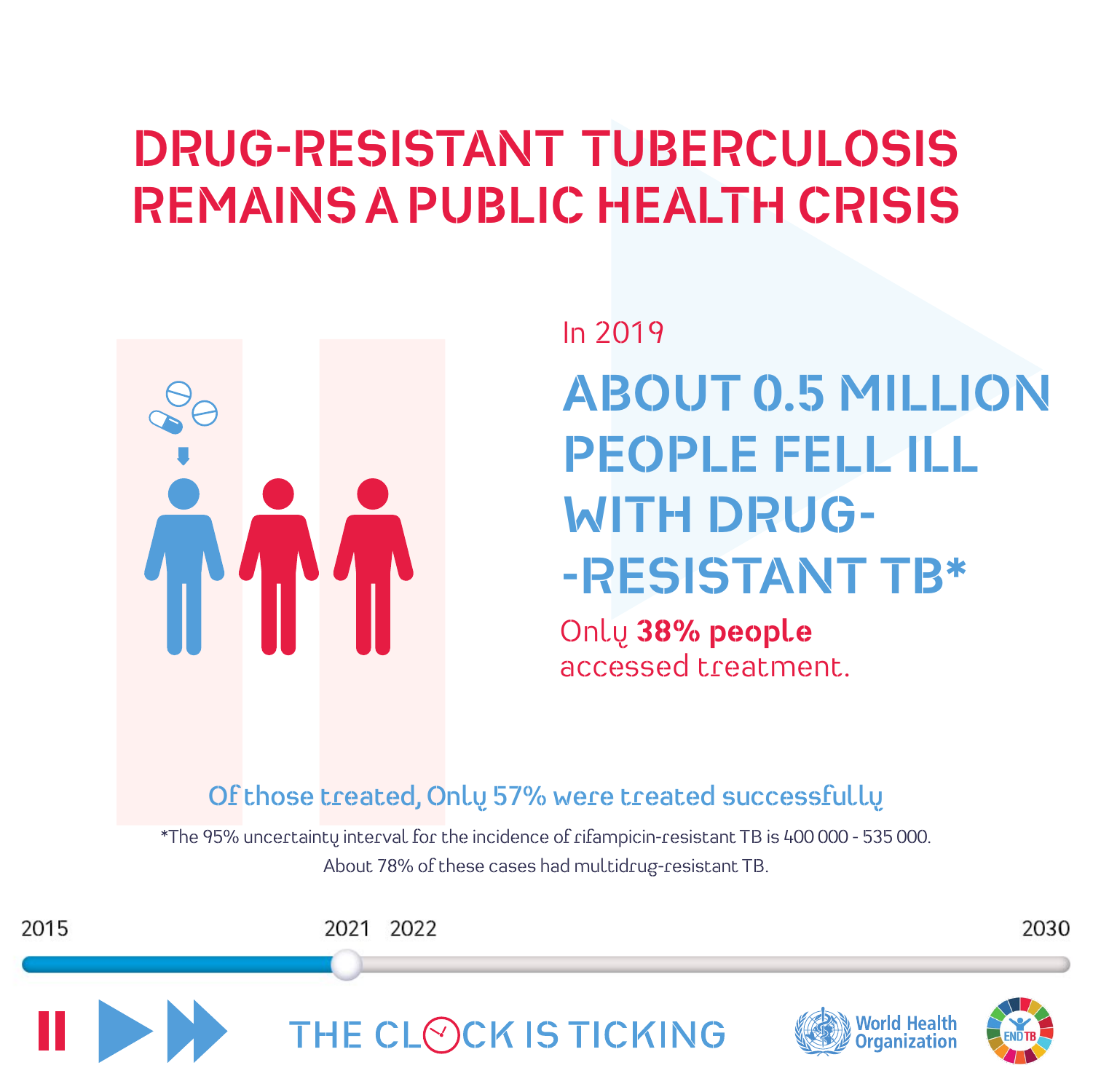#### **DRUG-RESISTANT TUBERCULOSIS REMAINS A PUBLIC HEALTH CRISIS**



# In 2019 **ABOUT 0.5 MILLION PEOPLE FELL ILL WITH DRUG- -RESISTANT TB\***

Only **38% people** accessed treatment.

#### **Of those treated, Only 57% were treated successfully**

\*The 95% uncertainty interval for the incidence of rifampicin-resistant TB is 400 000 - 535 000. About 78% of these cases had multidrug-resistant TB.

2021 2022

2030



2015

THE CLOCK IS TICKING



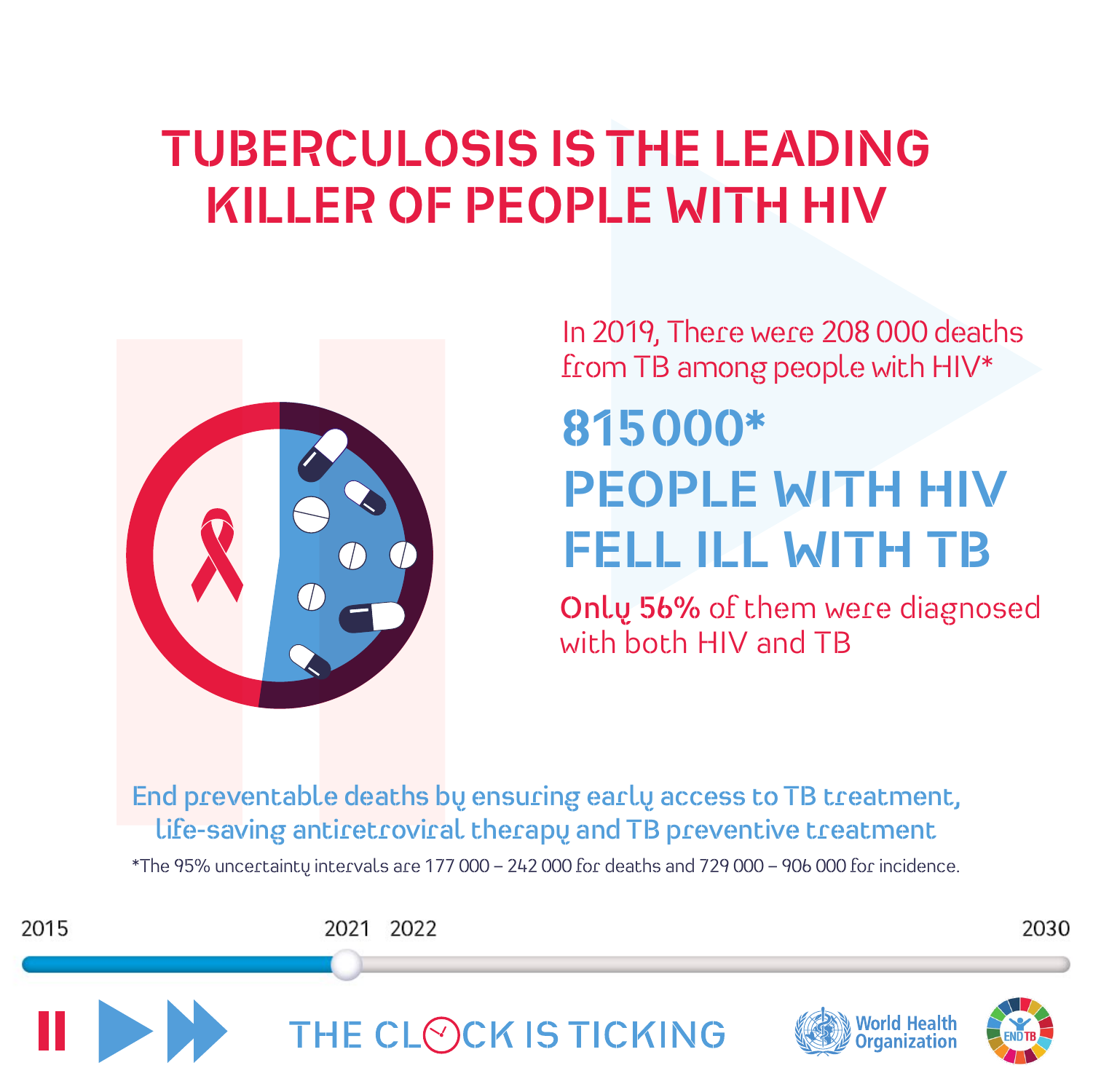## **TUBERCULOSIS IS THE LEADING KILLER OF PEOPLE WITH HIV**



In 2019, There were 208 000 deaths from TB among people with HIV\*

# **815000\* PEOPLE WITH HIV FELL ILL WITH TB**

**Only 56%** of them were diagnosed with both HIV and TB

**End preventable deaths by ensuring early access to TB treatment, life-saving antiretroviral therapy and TB preventive treatment**

\*The 95% uncertainty intervals are 177 000 – 242 000 for deaths and 729 000 – 906 000 for incidence.

2015 2021 2022 2030 THE CLOCK IS TICKING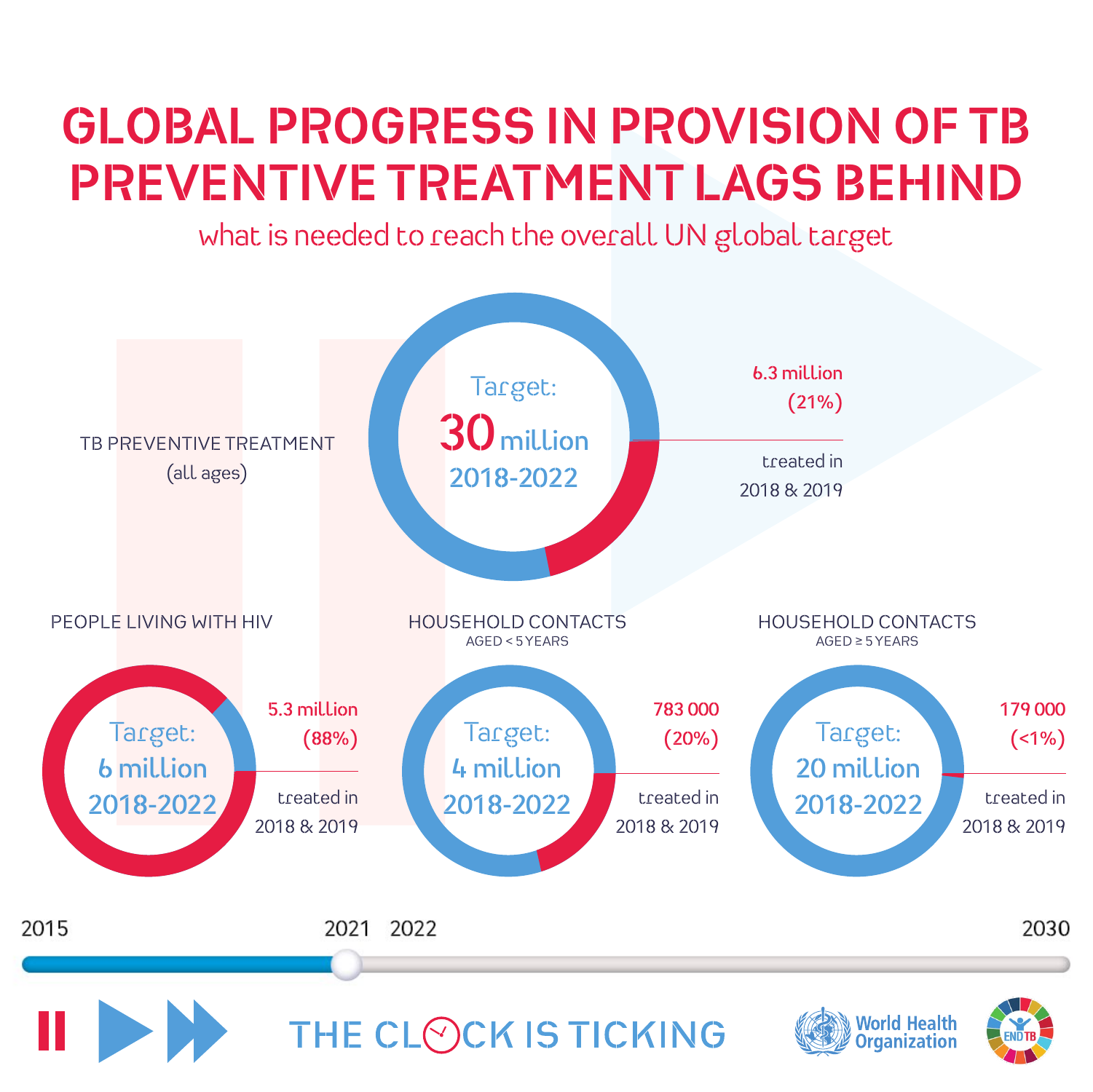# **GLOBAL PROGRESS IN PROVISION OF TB PREVENTIVE TREATMENT LAGS BEHIND**

what is needed to reach the overall UN global target

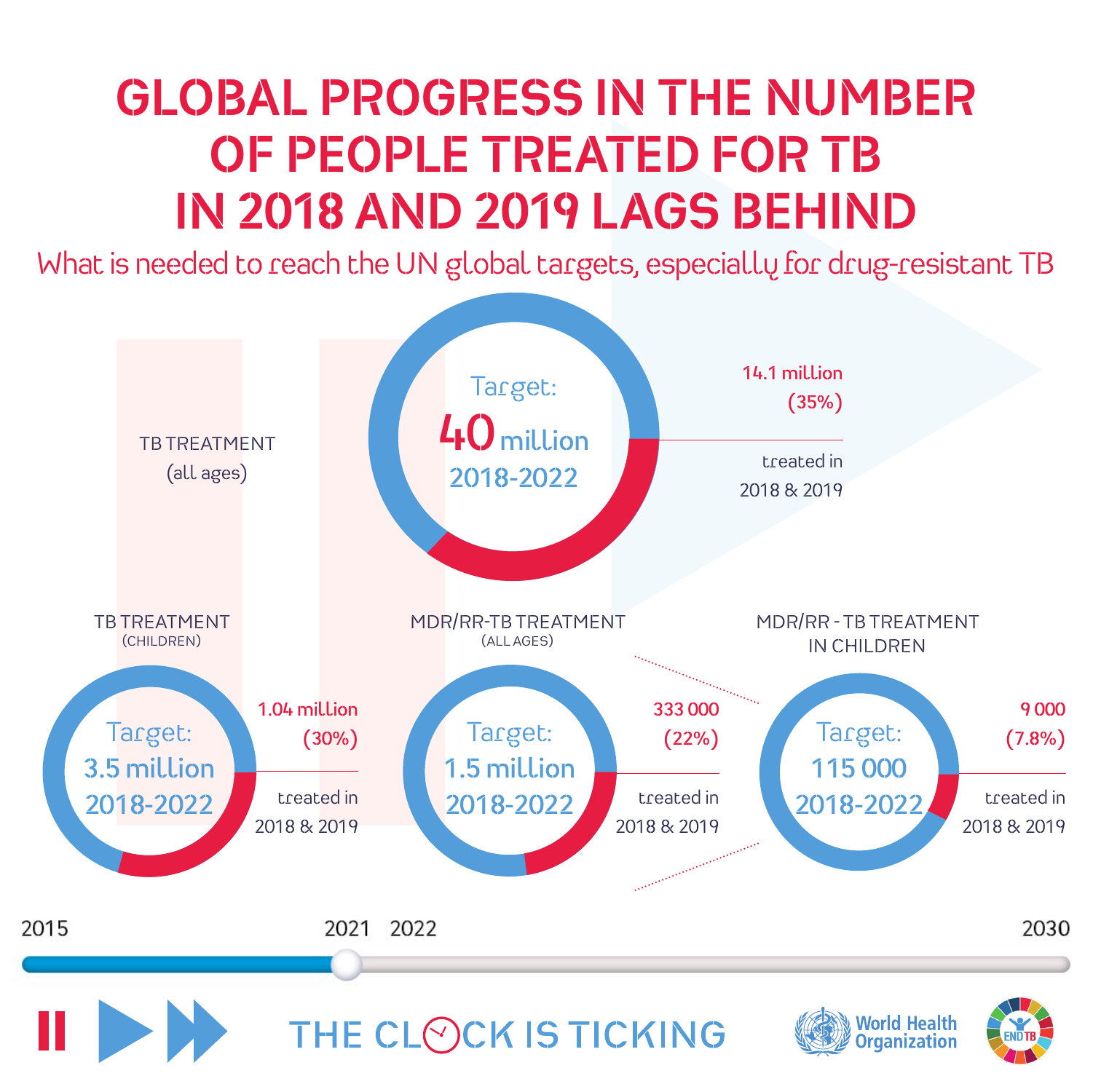# **GLOBAL PROGRESS IN THE NUMBER OF PEOPLE TREATED FOR TB IN 2018 AND 2019 LAGS BEHIND**

What is needed to reach the UN global targets, especially for drug-resistant TB

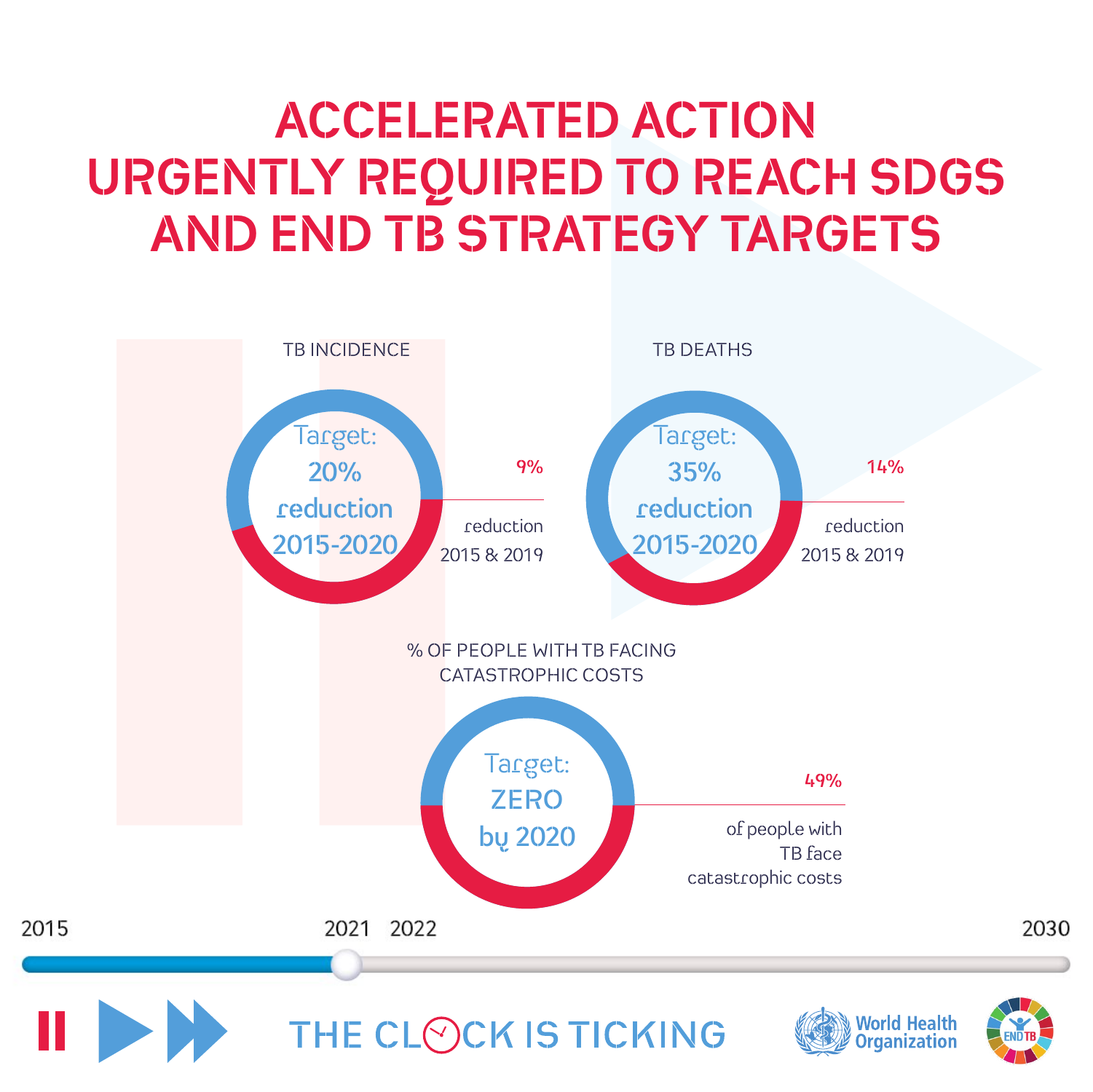# **ACCELERATED ACTION URGENTLY REQUIRED TO REACH SDGS AND END TB STRATEGY TARGETS**

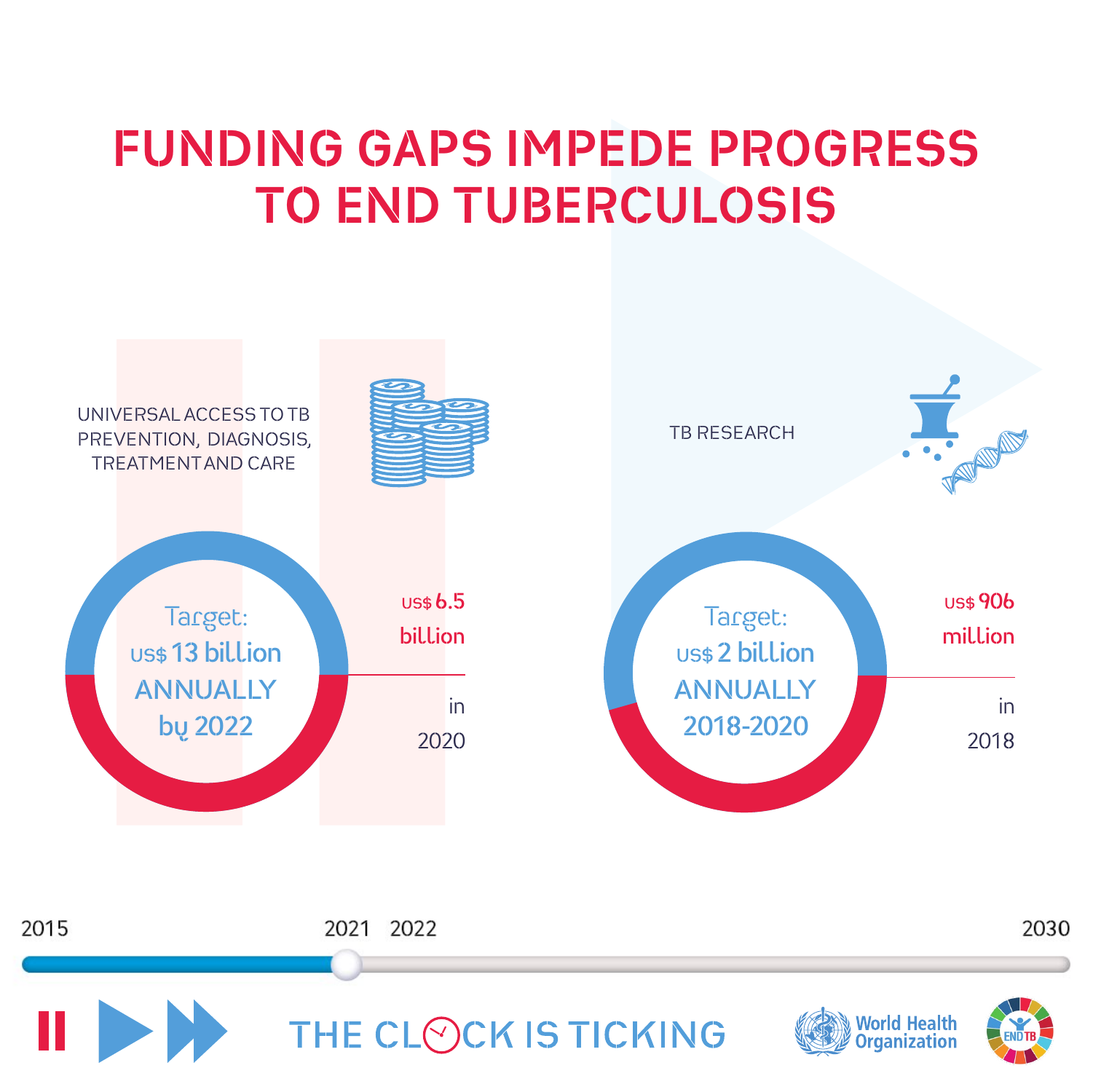#### **FUNDING GAPS IMPEDE PROGRESS TO END TUBERCULOSIS**